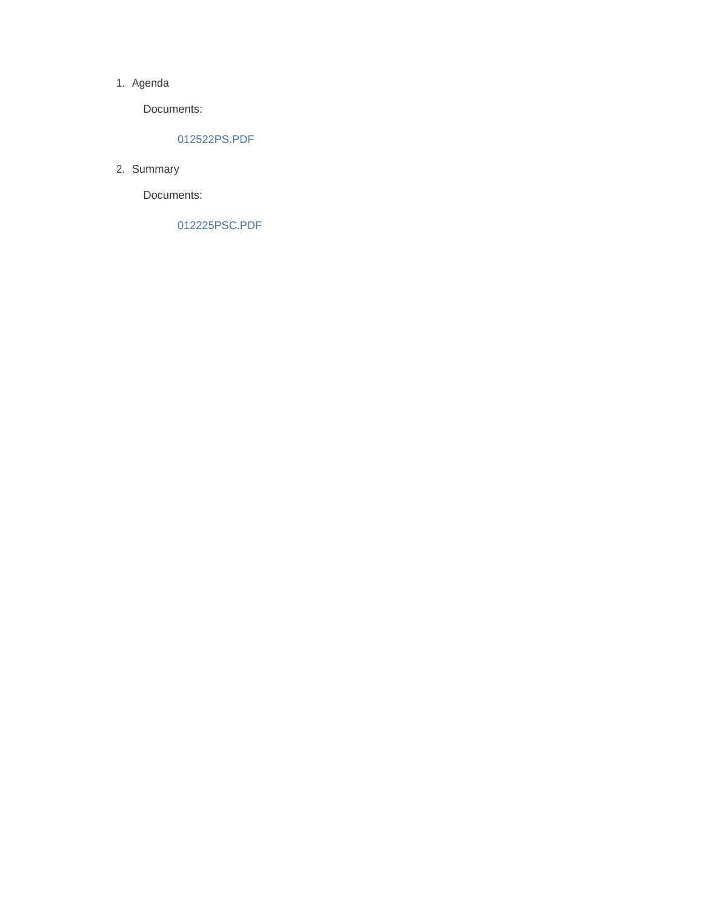#### 1. Agenda

Documents:

#### 012522PS.PDF

2. Summary

Documents:

012225PSC.PDF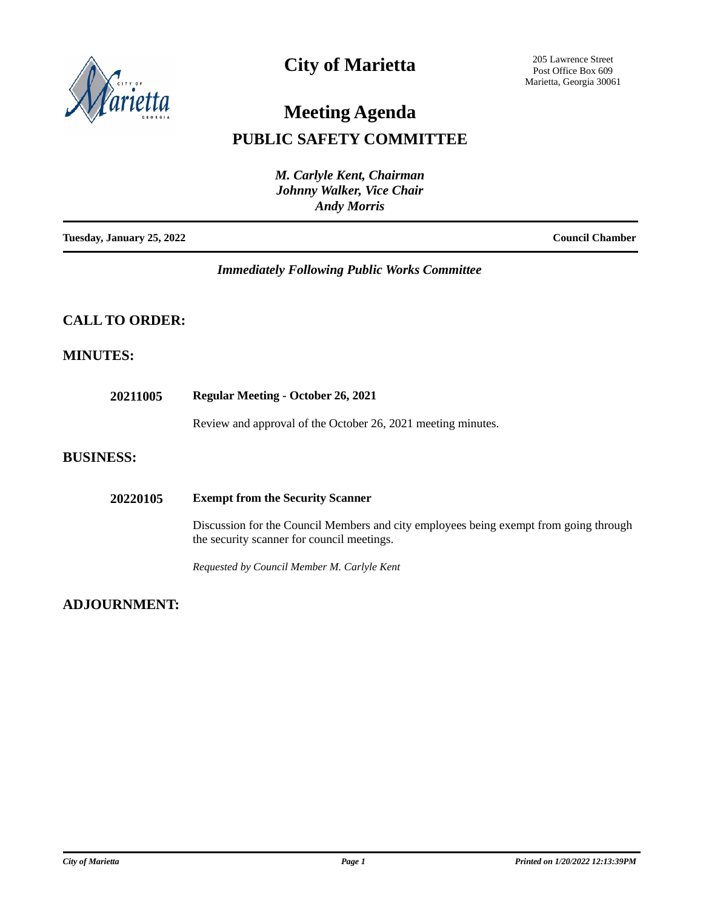

## **City of Marietta**

205 Lawrence Street Post Office Box 609 Marietta, Georgia 30061

# **Meeting Agenda**

### **PUBLIC SAFETY COMMITTEE**

|                           | M. Carlyle Kent, Chairman<br>Johnny Walker, Vice Chair<br><b>Andy Morris</b> |                        |
|---------------------------|------------------------------------------------------------------------------|------------------------|
| Tuesday, January 25, 2022 |                                                                              | <b>Council Chamber</b> |

#### *Immediately Following Public Works Committee*

### **CALL TO ORDER:**

#### **MINUTES:**

| 20211005         | <b>Regular Meeting - October 26, 2021</b>                                                                                           |  |
|------------------|-------------------------------------------------------------------------------------------------------------------------------------|--|
|                  | Review and approval of the October 26, 2021 meeting minutes.                                                                        |  |
| <b>BUSINESS:</b> |                                                                                                                                     |  |
| 20220105         | <b>Exempt from the Security Scanner</b>                                                                                             |  |
|                  | Discussion for the Council Members and city employees being exempt from going through<br>the security scanner for council meetings. |  |
|                  | Requested by Council Member M. Carlyle Kent                                                                                         |  |

#### **ADJOURNMENT:**